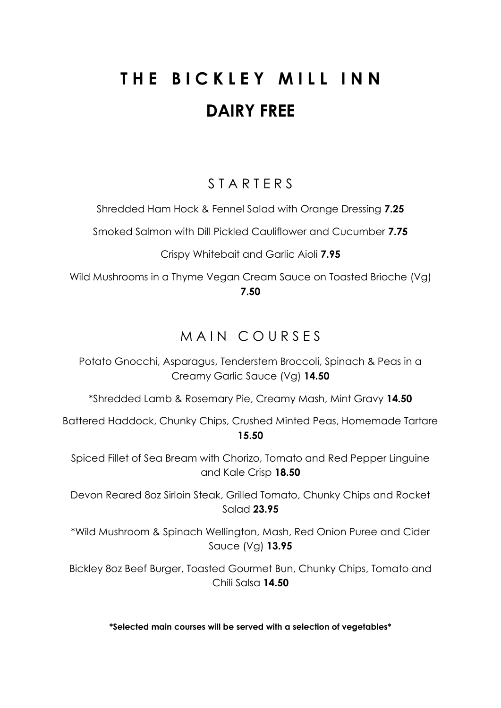# **THE BICKLEY MILL INN DAIRY FREE**

## S T A R T E R S

Shredded Ham Hock & Fennel Salad with Orange Dressing **7.25**

Smoked Salmon with Dill Pickled Cauliflower and Cucumber **7.75**

Crispy Whitebait and Garlic Aioli **7.95**

Wild Mushrooms in a Thyme Vegan Cream Sauce on Toasted Brioche (Vg) **7.50**

## MAIN COURSES

Potato Gnocchi, Asparagus, Tenderstem Broccoli, Spinach & Peas in a Creamy Garlic Sauce (Vg) **14.50**

\*Shredded Lamb & Rosemary Pie, Creamy Mash, Mint Gravy **14.50**

Battered Haddock, Chunky Chips, Crushed Minted Peas, Homemade Tartare **15.50**

Spiced Fillet of Sea Bream with Chorizo, Tomato and Red Pepper Linguine and Kale Crisp **18.50**

Devon Reared 8oz Sirloin Steak, Grilled Tomato, Chunky Chips and Rocket Salad **23.95**

\*Wild Mushroom & Spinach Wellington, Mash, Red Onion Puree and Cider Sauce (Vg) **13.95**

Bickley 8oz Beef Burger, Toasted Gourmet Bun, Chunky Chips, Tomato and Chili Salsa **14.50**

**\*Selected main courses will be served with a selection of vegetables\***